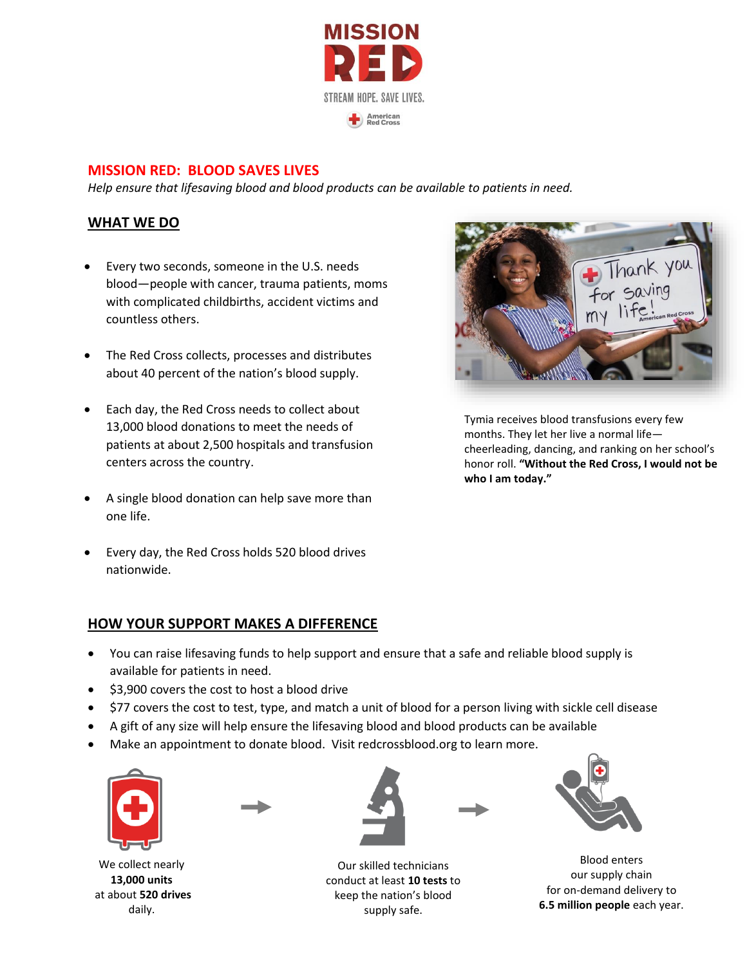

#### **MISSION RED: BLOOD SAVES LIVES**

*Help ensure that lifesaving blood and blood products can be available to patients in need.*

#### **WHAT WE DO**

- Every two seconds, someone in the U.S. needs blood—people with cancer, trauma patients, moms with complicated childbirths, accident victims and countless others.
- The Red Cross collects, processes and distributes about 40 percent of the nation's blood supply.
- Each day, the Red Cross needs to collect about 13,000 blood donations to meet the needs of patients at about 2,500 hospitals and transfusion centers across the country.
- A single blood donation can help save more than one life.
- Every day, the Red Cross holds 520 blood drives nationwide.

#### **HOW YOUR SUPPORT MAKES A DIFFERENCE**



 $\mathcal{C}$  and

Tymia receives blood transfusions every few months. They let her live a normal life cheerleading, dancing, and ranking on her school's honor roll. **"Without the Red Cross, I would not be who I am today."**

- You can raise lifesaving funds to help support and ensure that a safe and reliable blood supply is available for patients in need.
- \$3,900 covers the cost to host a blood drive
- \$77 covers the cost to test, type, and match a unit of blood for a person living with sickle cell disease
- A gift of any size will help ensure the lifesaving blood and blood products can be available
- Make an appointment to donate blood. Visit redcrossblood.org to learn more.



We collect nearly **13,000 units** at about **520 drives** daily.



Our skilled technicians conduct at least **10 tests** to keep the nation's blood supply safe.



Blood enters our supply chain for on-demand delivery to **6.5 million people** each year.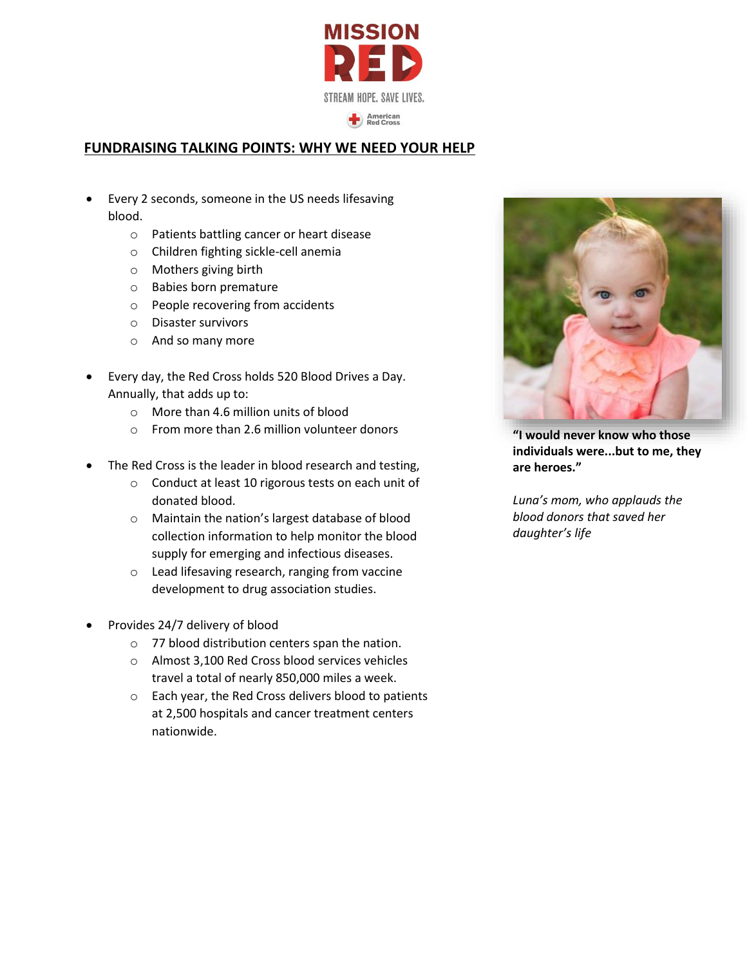

## **FUNDRAISING TALKING POINTS: WHY WE NEED YOUR HELP**

- Every 2 seconds, someone in the US needs lifesaving blood.
	- o Patients battling cancer or heart disease
	- o Children fighting sickle-cell anemia
	- o Mothers giving birth
	- o Babies born premature
	- o People recovering from accidents
	- o Disaster survivors
	- o And so many more
- Every day, the Red Cross holds 520 Blood Drives a Day. Annually, that adds up to:
	- o More than 4.6 million units of blood
	- o From more than 2.6 million volunteer donors
- The Red Cross is the leader in blood research and testing,
	- o Conduct at least 10 rigorous tests on each unit of donated blood.
	- o Maintain the nation's largest database of blood collection information to help monitor the blood supply for emerging and infectious diseases.
	- o Lead lifesaving research, ranging from vaccine development to drug association studies.
- Provides 24/7 delivery of blood
	- o 77 blood distribution centers span the nation.
	- o Almost 3,100 Red Cross blood services vehicles travel a total of nearly 850,000 miles a week.
	- o Each year, the Red Cross delivers blood to patients at 2,500 hospitals and cancer treatment centers nationwide.



**"I would never know who those individuals were...but to me, they are heroes."** 

*Luna's mom, who applauds the blood donors that saved her daughter's life*